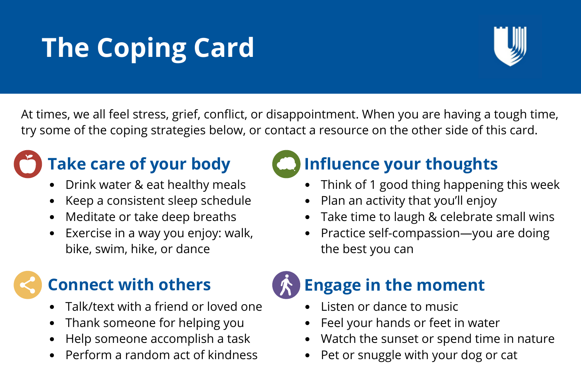# **The Coping Card**



At times, we all feel stress, grief, conflict, or disappointment. When you are having a tough time, try some of the coping strategies below, or contact a resource on the other side of this card.

# **Take care of your body**

- Drink water & eat healthy meals
- Keep a consistent sleep schedule
- Meditate or take deep breaths  $\bullet$
- Exercise in a way you enjoy: walk, bike, swim, hike, or dance

### **Connect with others**

- Talk/text with a friend or loved one
- Thank someone for helping you
- Help someone accomplish a task  $\bullet$
- Perform a random act of kindness



## **Influence your thoughts**

- Think of 1 good thing happening this week
- Plan an activity that you'll enjoy  $\bullet$
- Take time to laugh & celebrate small wins  $\bullet$
- Practice self-compassion—you are doing the best you can



#### **Engage in the moment**

- Listen or dance to music
- Feel your hands or feet in water
- Watch the sunset or spend time in nature
- Pet or snuggle with your dog or cat